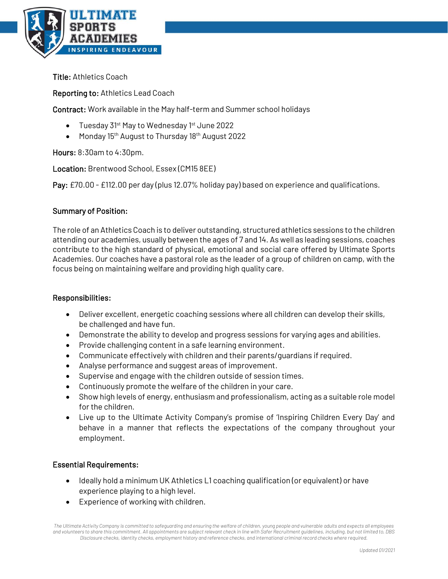

Title: Athletics Coach

Reporting to: Athletics Lead Coach

Contract: Work available in the May half-term and Summer school holidays

- Tuesday 31<sup>st</sup> May to Wednesday 1<sup>st</sup> June 2022
- Monday 15<sup>th</sup> August to Thursday 18<sup>th</sup> August 2022

Hours: 8:30am to 4:30pm.

Location: Brentwood School, Essex (CM15 8EE)

Pay: £70.00 - £112.00 per day (plus 12.07% holiday pay) based on experience and qualifications.

## Summary of Position:

The role of an Athletics Coach is to deliver outstanding, structured athletics sessions to the children attending our academies, usually between the ages of 7 and 14. As well as leading sessions, coaches contribute to the high standard of physical, emotional and social care offered by Ultimate Sports Academies. Our coaches have a pastoral role as the leader of a group of children on camp, with the focus being on maintaining welfare and providing high quality care.

## Responsibilities:

- Deliver excellent, energetic coaching sessions where all children can develop their skills, be challenged and have fun.
- Demonstrate the ability to develop and progress sessions for varying ages and abilities.
- Provide challenging content in a safe learning environment.
- Communicate effectively with children and their parents/guardians if required.
- Analyse performance and suggest areas of improvement.
- Supervise and engage with the children outside of session times.
- Continuously promote the welfare of the children in your care.
- Show high levels of energy, enthusiasm and professionalism, acting as a suitable role model for the children.
- Live up to the Ultimate Activity Company's promise of 'Inspiring Children Every Day' and behave in a manner that reflects the expectations of the company throughout your employment.

## Essential Requirements:

- Ideally hold a minimum UK Athletics L1 coaching qualification (or equivalent) or have experience playing to a high level.
- Experience of working with children.